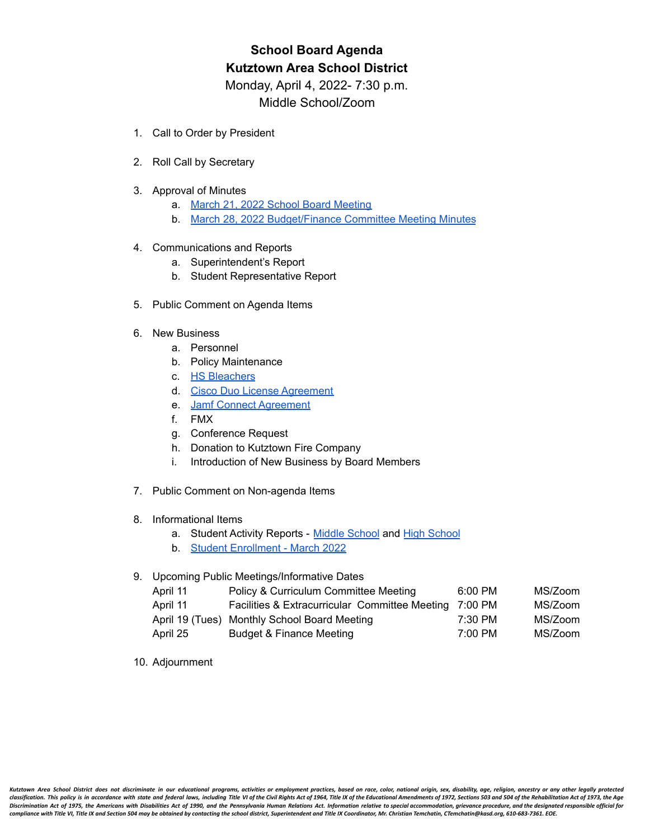# **School Board Agenda Kutztown Area School District**

Monday, April 4, 2022- 7:30 p.m. Middle School/Zoom

- 1. Call to Order by President
- 2. Roll Call by Secretary
- 3. Approval of Minutes
	- a. March 21, 2022 School Board [Meeting](https://drive.google.com/file/d/1ZTxWoigLovz1KIB0jnsnEf_usivZhaFN/view?usp=sharing)
	- b. March 28, 2022 [Budget/Finance](https://drive.google.com/file/d/1LJZl7t-DBiEJ9hbXiMcXwHj9BQ_4u1yD/view?usp=sharing) Committee Meeting Minutes

### 4. Communications and Reports

- a. Superintendent's Report
- b. Student Representative Report
- 5. Public Comment on Agenda Items

## 6. New Business

- a. Personnel
- b. Policy Maintenance
- c. HS [Bleachers](https://drive.google.com/file/d/1ctfA81OfDqpQCTpUfh-HBUSzp5FfQvKV/view)
- d. Cisco Duo License [Agreement](https://drive.google.com/file/d/19CFQa2FBC4Asaro4Ob3629qANEaWPFHC/view?usp=sharing)
- e. Jamf Connect [Agreement](https://drive.google.com/file/d/1XtQ5SdwcnvU6pCgwJSE1SNtwDpqq9dxf/view?usp=sharing)
- f. FMX
- g. Conference Request
- h. Donation to Kutztown Fire Company
- i. Introduction of New Business by Board Members
- 7. Public Comment on Non-agenda Items
- 8. Informational Items
	- a. Student Activity Reports Middle [School](https://drive.google.com/file/d/1xfgXCe0MDhy_Y7ET1Kni3_A6Tp4LYmXl/view?usp=sharing) and High [School](https://drive.google.com/file/d/1fegfhng8tlwZeaxZIhY4Fqx_GH4YkzhI/view?usp=sharing)
	- b. Student [Enrollment](https://drive.google.com/file/d/1DDWCFEkRm7DH1V8iF81GbrPBrnEV2smv/view?usp=sharing) March 2022

### 9. Upcoming Public Meetings/Informative Dates

| April 11 | Policy & Curriculum Committee Meeting          | 6:00 PM | MS/Zoom |
|----------|------------------------------------------------|---------|---------|
| April 11 | Facilities & Extracurricular Committee Meeting | 7:00 PM | MS/Zoom |
|          | April 19 (Tues) Monthly School Board Meeting   | 7:30 PM | MS/Zoom |
| April 25 | Budget & Finance Meeting                       | 7:00 PM | MS/Zoom |

10. Adjournment